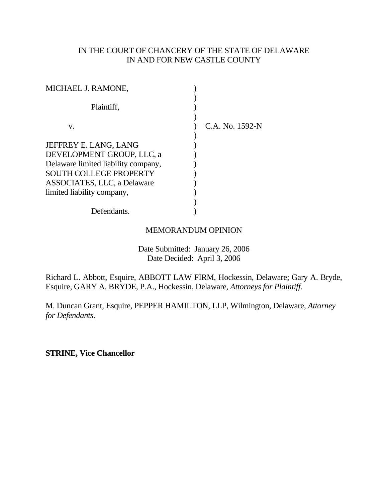# IN THE COURT OF CHANCERY OF THE STATE OF DELAWARE IN AND FOR NEW CASTLE COUNTY

| MICHAEL J. RAMONE,                  |                 |
|-------------------------------------|-----------------|
| Plaintiff,                          |                 |
| V.                                  | C.A. No. 1592-N |
| JEFFREY E. LANG, LANG               |                 |
| DEVELOPMENT GROUP, LLC, a           |                 |
| Delaware limited liability company, |                 |
| <b>SOUTH COLLEGE PROPERTY</b>       |                 |
| ASSOCIATES, LLC, a Delaware         |                 |
| limited liability company,          |                 |
|                                     |                 |
| Defendants.                         |                 |

# MEMORANDUM OPINION

 Date Submitted: January 26, 2006 Date Decided: April 3, 2006

Richard L. Abbott, Esquire, ABBOTT LAW FIRM, Hockessin, Delaware; Gary A. Bryde, Esquire, GARY A. BRYDE, P.A., Hockessin, Delaware, *Attorneys for Plaintiff.*

M. Duncan Grant, Esquire, PEPPER HAMILTON, LLP, Wilmington, Delaware, *Attorney for Defendants.* 

**STRINE, Vice Chancellor**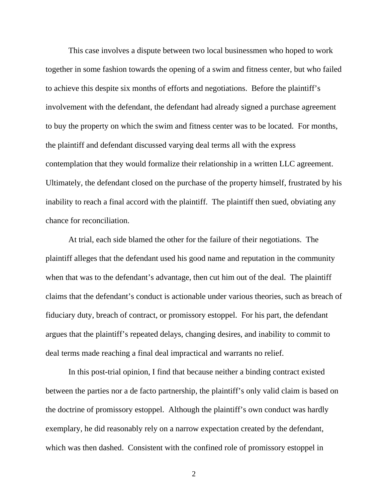This case involves a dispute between two local businessmen who hoped to work together in some fashion towards the opening of a swim and fitness center, but who failed to achieve this despite six months of efforts and negotiations. Before the plaintiff's involvement with the defendant, the defendant had already signed a purchase agreement to buy the property on which the swim and fitness center was to be located. For months, the plaintiff and defendant discussed varying deal terms all with the express contemplation that they would formalize their relationship in a written LLC agreement. Ultimately, the defendant closed on the purchase of the property himself, frustrated by his inability to reach a final accord with the plaintiff. The plaintiff then sued, obviating any chance for reconciliation.

At trial, each side blamed the other for the failure of their negotiations. The plaintiff alleges that the defendant used his good name and reputation in the community when that was to the defendant's advantage, then cut him out of the deal. The plaintiff claims that the defendant's conduct is actionable under various theories, such as breach of fiduciary duty, breach of contract, or promissory estoppel. For his part, the defendant argues that the plaintiff's repeated delays, changing desires, and inability to commit to deal terms made reaching a final deal impractical and warrants no relief.

In this post-trial opinion, I find that because neither a binding contract existed between the parties nor a de facto partnership, the plaintiff's only valid claim is based on the doctrine of promissory estoppel. Although the plaintiff's own conduct was hardly exemplary, he did reasonably rely on a narrow expectation created by the defendant, which was then dashed. Consistent with the confined role of promissory estoppel in

2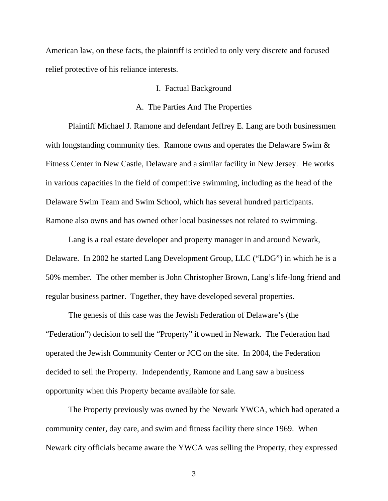American law, on these facts, the plaintiff is entitled to only very discrete and focused relief protective of his reliance interests.

### I. Factual Background

### A. The Parties And The Properties

Plaintiff Michael J. Ramone and defendant Jeffrey E. Lang are both businessmen with longstanding community ties. Ramone owns and operates the Delaware Swim  $\&$ Fitness Center in New Castle, Delaware and a similar facility in New Jersey. He works in various capacities in the field of competitive swimming, including as the head of the Delaware Swim Team and Swim School, which has several hundred participants. Ramone also owns and has owned other local businesses not related to swimming.

Lang is a real estate developer and property manager in and around Newark, Delaware. In 2002 he started Lang Development Group, LLC ("LDG") in which he is a 50% member. The other member is John Christopher Brown, Lang's life-long friend and regular business partner. Together, they have developed several properties.

The genesis of this case was the Jewish Federation of Delaware's (the "Federation") decision to sell the "Property" it owned in Newark. The Federation had operated the Jewish Community Center or JCC on the site. In 2004, the Federation decided to sell the Property. Independently, Ramone and Lang saw a business opportunity when this Property became available for sale.

The Property previously was owned by the Newark YWCA, which had operated a community center, day care, and swim and fitness facility there since 1969. When Newark city officials became aware the YWCA was selling the Property, they expressed

3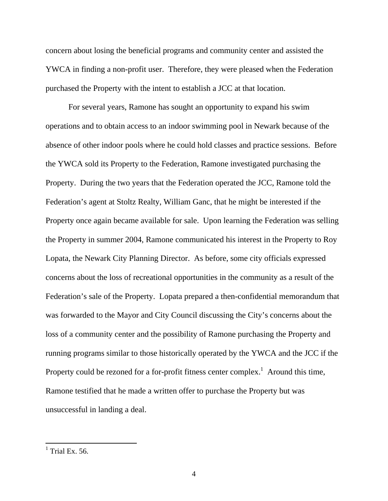concern about losing the beneficial programs and community center and assisted the YWCA in finding a non-profit user. Therefore, they were pleased when the Federation purchased the Property with the intent to establish a JCC at that location.

For several years, Ramone has sought an opportunity to expand his swim operations and to obtain access to an indoor swimming pool in Newark because of the absence of other indoor pools where he could hold classes and practice sessions. Before the YWCA sold its Property to the Federation, Ramone investigated purchasing the Property. During the two years that the Federation operated the JCC, Ramone told the Federation's agent at Stoltz Realty, William Ganc, that he might be interested if the Property once again became available for sale. Upon learning the Federation was selling the Property in summer 2004, Ramone communicated his interest in the Property to Roy Lopata, the Newark City Planning Director. As before, some city officials expressed concerns about the loss of recreational opportunities in the community as a result of the Federation's sale of the Property. Lopata prepared a then-confidential memorandum that was forwarded to the Mayor and City Council discussing the City's concerns about the loss of a community center and the possibility of Ramone purchasing the Property and running programs similar to those historically operated by the YWCA and the JCC if the Property could be rezoned for a for-profit fitness center complex.<sup>1</sup> Around this time, Ramone testified that he made a written offer to purchase the Property but was unsuccessful in landing a deal.

 $\frac{1}{1}$  Trial Ex. 56.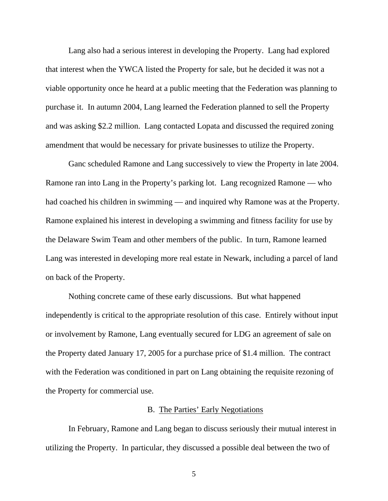Lang also had a serious interest in developing the Property. Lang had explored that interest when the YWCA listed the Property for sale, but he decided it was not a viable opportunity once he heard at a public meeting that the Federation was planning to purchase it. In autumn 2004, Lang learned the Federation planned to sell the Property and was asking \$2.2 million. Lang contacted Lopata and discussed the required zoning amendment that would be necessary for private businesses to utilize the Property.

Ganc scheduled Ramone and Lang successively to view the Property in late 2004. Ramone ran into Lang in the Property's parking lot. Lang recognized Ramone — who had coached his children in swimming — and inquired why Ramone was at the Property. Ramone explained his interest in developing a swimming and fitness facility for use by the Delaware Swim Team and other members of the public. In turn, Ramone learned Lang was interested in developing more real estate in Newark, including a parcel of land on back of the Property.

Nothing concrete came of these early discussions. But what happened independently is critical to the appropriate resolution of this case. Entirely without input or involvement by Ramone, Lang eventually secured for LDG an agreement of sale on the Property dated January 17, 2005 for a purchase price of \$1.4 million. The contract with the Federation was conditioned in part on Lang obtaining the requisite rezoning of the Property for commercial use.

## B. The Parties' Early Negotiations

In February, Ramone and Lang began to discuss seriously their mutual interest in utilizing the Property. In particular, they discussed a possible deal between the two of

5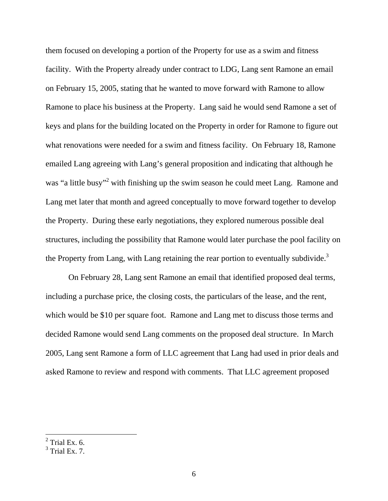them focused on developing a portion of the Property for use as a swim and fitness facility. With the Property already under contract to LDG, Lang sent Ramone an email on February 15, 2005, stating that he wanted to move forward with Ramone to allow Ramone to place his business at the Property. Lang said he would send Ramone a set of keys and plans for the building located on the Property in order for Ramone to figure out what renovations were needed for a swim and fitness facility. On February 18, Ramone emailed Lang agreeing with Lang's general proposition and indicating that although he was "a little busy"<sup>2</sup> with finishing up the swim season he could meet Lang. Ramone and Lang met later that month and agreed conceptually to move forward together to develop the Property. During these early negotiations, they explored numerous possible deal structures, including the possibility that Ramone would later purchase the pool facility on the Property from Lang, with Lang retaining the rear portion to eventually subdivide.<sup>3</sup>

 On February 28, Lang sent Ramone an email that identified proposed deal terms, including a purchase price, the closing costs, the particulars of the lease, and the rent, which would be \$10 per square foot. Ramone and Lang met to discuss those terms and decided Ramone would send Lang comments on the proposed deal structure. In March 2005, Lang sent Ramone a form of LLC agreement that Lang had used in prior deals and asked Ramone to review and respond with comments. That LLC agreement proposed

 $2$  Trial Ex. 6.

 $3$  Trial Ex. 7.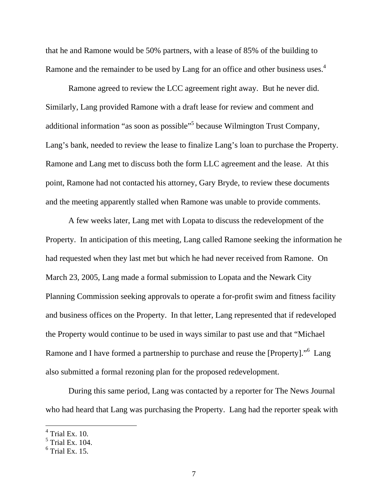that he and Ramone would be 50% partners, with a lease of 85% of the building to Ramone and the remainder to be used by Lang for an office and other business uses.<sup>4</sup>

Ramone agreed to review the LCC agreement right away. But he never did. Similarly, Lang provided Ramone with a draft lease for review and comment and additional information "as soon as possible"<sup>5</sup> because Wilmington Trust Company, Lang's bank, needed to review the lease to finalize Lang's loan to purchase the Property. Ramone and Lang met to discuss both the form LLC agreement and the lease. At this point, Ramone had not contacted his attorney, Gary Bryde, to review these documents and the meeting apparently stalled when Ramone was unable to provide comments.

A few weeks later, Lang met with Lopata to discuss the redevelopment of the Property. In anticipation of this meeting, Lang called Ramone seeking the information he had requested when they last met but which he had never received from Ramone. On March 23, 2005, Lang made a formal submission to Lopata and the Newark City Planning Commission seeking approvals to operate a for-profit swim and fitness facility and business offices on the Property. In that letter, Lang represented that if redeveloped the Property would continue to be used in ways similar to past use and that "Michael Ramone and I have formed a partnership to purchase and reuse the [Property]."<sup>6</sup> Lang also submitted a formal rezoning plan for the proposed redevelopment.

During this same period, Lang was contacted by a reporter for The News Journal who had heard that Lang was purchasing the Property. Lang had the reporter speak with

 $4$  Trial Ex. 10.

 $<sup>5</sup>$  Trial Ex. 104.</sup>

 $<sup>6</sup>$  Trial Ex. 15.</sup>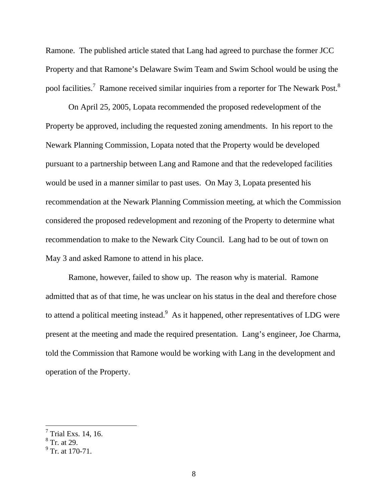Ramone. The published article stated that Lang had agreed to purchase the former JCC Property and that Ramone's Delaware Swim Team and Swim School would be using the pool facilities.<sup>7</sup> Ramone received similar inquiries from a reporter for The Newark Post.<sup>8</sup>

 On April 25, 2005, Lopata recommended the proposed redevelopment of the Property be approved, including the requested zoning amendments. In his report to the Newark Planning Commission, Lopata noted that the Property would be developed pursuant to a partnership between Lang and Ramone and that the redeveloped facilities would be used in a manner similar to past uses. On May 3, Lopata presented his recommendation at the Newark Planning Commission meeting, at which the Commission considered the proposed redevelopment and rezoning of the Property to determine what recommendation to make to the Newark City Council. Lang had to be out of town on May 3 and asked Ramone to attend in his place.

Ramone, however, failed to show up. The reason why is material. Ramone admitted that as of that time, he was unclear on his status in the deal and therefore chose to attend a political meeting instead.  $\delta$  As it happened, other representatives of LDG were present at the meeting and made the required presentation. Lang's engineer, Joe Charma, told the Commission that Ramone would be working with Lang in the development and operation of the Property.

 $^7$  Trial Exs. 14, 16.<br> $^8$  Tr. at 29.

<sup>&</sup>lt;sup>9</sup> Tr. at 170-71.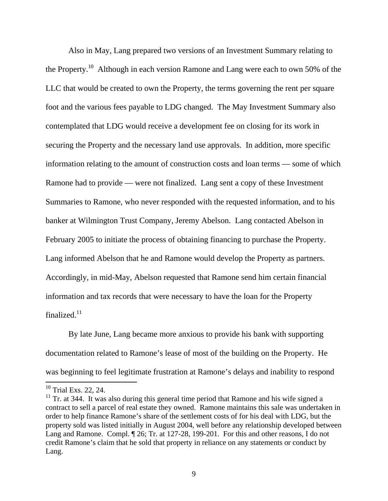Also in May, Lang prepared two versions of an Investment Summary relating to the Property.<sup>10</sup> Although in each version Ramone and Lang were each to own 50% of the LLC that would be created to own the Property, the terms governing the rent per square foot and the various fees payable to LDG changed. The May Investment Summary also contemplated that LDG would receive a development fee on closing for its work in securing the Property and the necessary land use approvals. In addition, more specific information relating to the amount of construction costs and loan terms — some of which Ramone had to provide — were not finalized. Lang sent a copy of these Investment Summaries to Ramone, who never responded with the requested information, and to his banker at Wilmington Trust Company, Jeremy Abelson. Lang contacted Abelson in February 2005 to initiate the process of obtaining financing to purchase the Property. Lang informed Abelson that he and Ramone would develop the Property as partners. Accordingly, in mid-May, Abelson requested that Ramone send him certain financial information and tax records that were necessary to have the loan for the Property finalized.<sup>11</sup>

 By late June, Lang became more anxious to provide his bank with supporting documentation related to Ramone's lease of most of the building on the Property. He was beginning to feel legitimate frustration at Ramone's delays and inability to respond

<sup>&</sup>lt;sup>10</sup> Trial Exs. 22, 24.

 $11$  Tr. at 344. It was also during this general time period that Ramone and his wife signed a contract to sell a parcel of real estate they owned. Ramone maintains this sale was undertaken in order to help finance Ramone's share of the settlement costs of for his deal with LDG, but the property sold was listed initially in August 2004, well before any relationship developed between Lang and Ramone. Compl. ¶ 26; Tr. at 127-28, 199-201. For this and other reasons, I do not credit Ramone's claim that he sold that property in reliance on any statements or conduct by Lang.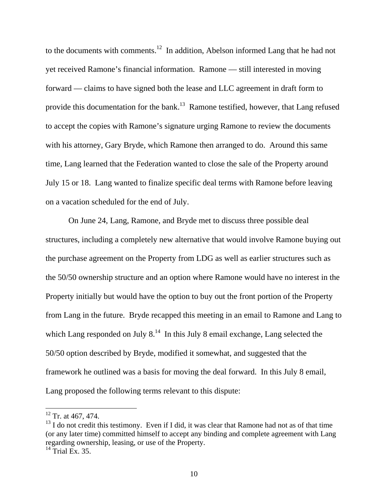to the documents with comments.<sup>12</sup> In addition, Abelson informed Lang that he had not yet received Ramone's financial information. Ramone — still interested in moving forward — claims to have signed both the lease and LLC agreement in draft form to provide this documentation for the bank.<sup>13</sup> Ramone testified, however, that Lang refused to accept the copies with Ramone's signature urging Ramone to review the documents with his attorney, Gary Bryde, which Ramone then arranged to do. Around this same time, Lang learned that the Federation wanted to close the sale of the Property around July 15 or 18. Lang wanted to finalize specific deal terms with Ramone before leaving on a vacation scheduled for the end of July.

On June 24, Lang, Ramone, and Bryde met to discuss three possible deal structures, including a completely new alternative that would involve Ramone buying out the purchase agreement on the Property from LDG as well as earlier structures such as the 50/50 ownership structure and an option where Ramone would have no interest in the Property initially but would have the option to buy out the front portion of the Property from Lang in the future. Bryde recapped this meeting in an email to Ramone and Lang to which Lang responded on July  $8<sup>14</sup>$  In this July 8 email exchange, Lang selected the 50/50 option described by Bryde, modified it somewhat, and suggested that the framework he outlined was a basis for moving the deal forward. In this July 8 email, Lang proposed the following terms relevant to this dispute:

 $12$  Tr. at 467, 474.

 $13$  I do not credit this testimony. Even if I did, it was clear that Ramone had not as of that time (or any later time) committed himself to accept any binding and complete agreement with Lang regarding ownership, leasing, or use of the Property.

 $14$  Trial Ex. 35.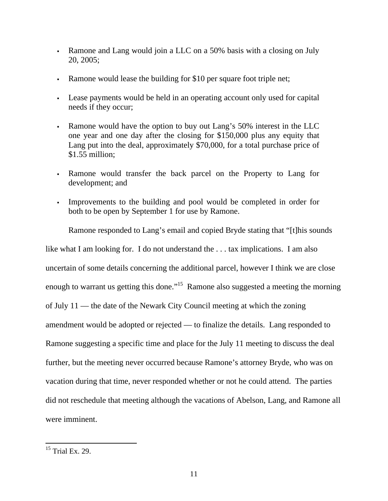- Ramone and Lang would join a LLC on a 50% basis with a closing on July 20, 2005;
- Ramone would lease the building for \$10 per square foot triple net;
- Lease payments would be held in an operating account only used for capital needs if they occur;
- Ramone would have the option to buy out Lang's 50% interest in the LLC one year and one day after the closing for \$150,000 plus any equity that Lang put into the deal, approximately \$70,000, for a total purchase price of \$1.55 million;
- Ramone would transfer the back parcel on the Property to Lang for development; and
- Improvements to the building and pool would be completed in order for both to be open by September 1 for use by Ramone.

Ramone responded to Lang's email and copied Bryde stating that "[t]his sounds

like what I am looking for. I do not understand the ... tax implications. I am also uncertain of some details concerning the additional parcel, however I think we are close enough to warrant us getting this done."<sup>15</sup> Ramone also suggested a meeting the morning of July 11 — the date of the Newark City Council meeting at which the zoning amendment would be adopted or rejected — to finalize the details. Lang responded to Ramone suggesting a specific time and place for the July 11 meeting to discuss the deal further, but the meeting never occurred because Ramone's attorney Bryde, who was on vacation during that time, never responded whether or not he could attend. The parties did not reschedule that meeting although the vacations of Abelson, Lang, and Ramone all were imminent.

 $\overline{a}$  $15$  Trial Ex. 29.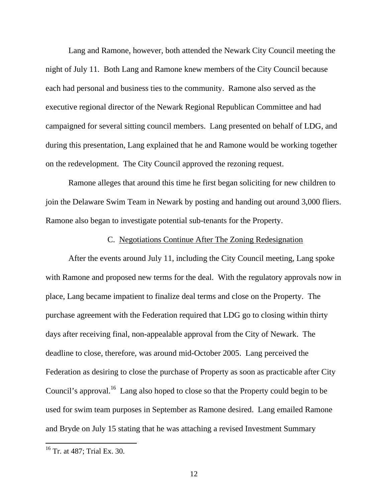Lang and Ramone, however, both attended the Newark City Council meeting the night of July 11. Both Lang and Ramone knew members of the City Council because each had personal and business ties to the community. Ramone also served as the executive regional director of the Newark Regional Republican Committee and had campaigned for several sitting council members. Lang presented on behalf of LDG, and during this presentation, Lang explained that he and Ramone would be working together on the redevelopment. The City Council approved the rezoning request.

Ramone alleges that around this time he first began soliciting for new children to join the Delaware Swim Team in Newark by posting and handing out around 3,000 fliers. Ramone also began to investigate potential sub-tenants for the Property.

### C. Negotiations Continue After The Zoning Redesignation

After the events around July 11, including the City Council meeting, Lang spoke with Ramone and proposed new terms for the deal. With the regulatory approvals now in place, Lang became impatient to finalize deal terms and close on the Property. The purchase agreement with the Federation required that LDG go to closing within thirty days after receiving final, non-appealable approval from the City of Newark. The deadline to close, therefore, was around mid-October 2005. Lang perceived the Federation as desiring to close the purchase of Property as soon as practicable after City Council's approval.<sup>16</sup> Lang also hoped to close so that the Property could begin to be used for swim team purposes in September as Ramone desired. Lang emailed Ramone and Bryde on July 15 stating that he was attaching a revised Investment Summary

<sup>&</sup>lt;sup>16</sup> Tr. at 487; Trial Ex. 30.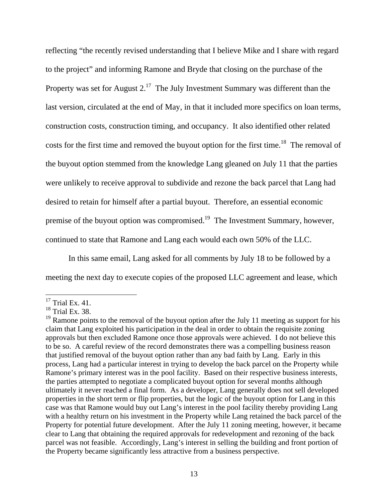reflecting "the recently revised understanding that I believe Mike and I share with regard to the project" and informing Ramone and Bryde that closing on the purchase of the Property was set for August  $2.^{17}$  The July Investment Summary was different than the last version, circulated at the end of May, in that it included more specifics on loan terms, construction costs, construction timing, and occupancy. It also identified other related costs for the first time and removed the buyout option for the first time.<sup>18</sup> The removal of the buyout option stemmed from the knowledge Lang gleaned on July 11 that the parties were unlikely to receive approval to subdivide and rezone the back parcel that Lang had desired to retain for himself after a partial buyout. Therefore, an essential economic premise of the buyout option was compromised.<sup>19</sup> The Investment Summary, however, continued to state that Ramone and Lang each would each own 50% of the LLC.

In this same email, Lang asked for all comments by July 18 to be followed by a meeting the next day to execute copies of the proposed LLC agreement and lease, which

 $\overline{a}$  $17$  Trial Ex. 41.

 $18$  Trial Ex. 38.

<sup>&</sup>lt;sup>19</sup> Ramone points to the removal of the buyout option after the July 11 meeting as support for his claim that Lang exploited his participation in the deal in order to obtain the requisite zoning approvals but then excluded Ramone once those approvals were achieved. I do not believe this to be so. A careful review of the record demonstrates there was a compelling business reason that justified removal of the buyout option rather than any bad faith by Lang. Early in this process, Lang had a particular interest in trying to develop the back parcel on the Property while Ramone's primary interest was in the pool facility. Based on their respective business interests, the parties attempted to negotiate a complicated buyout option for several months although ultimately it never reached a final form. As a developer, Lang generally does not sell developed properties in the short term or flip properties, but the logic of the buyout option for Lang in this case was that Ramone would buy out Lang's interest in the pool facility thereby providing Lang with a healthy return on his investment in the Property while Lang retained the back parcel of the Property for potential future development. After the July 11 zoning meeting, however, it became clear to Lang that obtaining the required approvals for redevelopment and rezoning of the back parcel was not feasible. Accordingly, Lang's interest in selling the building and front portion of the Property became significantly less attractive from a business perspective.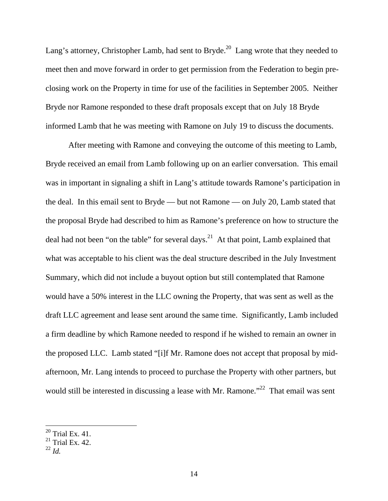Lang's attorney, Christopher Lamb, had sent to Bryde.<sup>20</sup> Lang wrote that they needed to meet then and move forward in order to get permission from the Federation to begin preclosing work on the Property in time for use of the facilities in September 2005. Neither Bryde nor Ramone responded to these draft proposals except that on July 18 Bryde informed Lamb that he was meeting with Ramone on July 19 to discuss the documents.

After meeting with Ramone and conveying the outcome of this meeting to Lamb, Bryde received an email from Lamb following up on an earlier conversation. This email was in important in signaling a shift in Lang's attitude towards Ramone's participation in the deal. In this email sent to Bryde — but not Ramone — on July 20, Lamb stated that the proposal Bryde had described to him as Ramone's preference on how to structure the deal had not been "on the table" for several days.<sup>21</sup> At that point, Lamb explained that what was acceptable to his client was the deal structure described in the July Investment Summary, which did not include a buyout option but still contemplated that Ramone would have a 50% interest in the LLC owning the Property, that was sent as well as the draft LLC agreement and lease sent around the same time. Significantly, Lamb included a firm deadline by which Ramone needed to respond if he wished to remain an owner in the proposed LLC. Lamb stated "[i]f Mr. Ramone does not accept that proposal by midafternoon, Mr. Lang intends to proceed to purchase the Property with other partners, but would still be interested in discussing a lease with Mr. Ramone.<sup>22</sup> That email was sent

 $20$  Trial Ex. 41.

 $21$  Trial Ex. 42.

 $^{22}$  *Id.*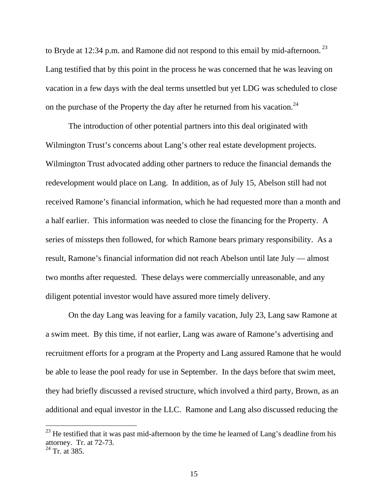to Bryde at 12:34 p.m. and Ramone did not respond to this email by mid-afternoon.<sup>23</sup> Lang testified that by this point in the process he was concerned that he was leaving on vacation in a few days with the deal terms unsettled but yet LDG was scheduled to close on the purchase of the Property the day after he returned from his vacation.<sup>24</sup>

The introduction of other potential partners into this deal originated with Wilmington Trust's concerns about Lang's other real estate development projects. Wilmington Trust advocated adding other partners to reduce the financial demands the redevelopment would place on Lang. In addition, as of July 15, Abelson still had not received Ramone's financial information, which he had requested more than a month and a half earlier. This information was needed to close the financing for the Property. A series of missteps then followed, for which Ramone bears primary responsibility. As a result, Ramone's financial information did not reach Abelson until late July — almost two months after requested. These delays were commercially unreasonable, and any diligent potential investor would have assured more timely delivery.

On the day Lang was leaving for a family vacation, July 23, Lang saw Ramone at a swim meet. By this time, if not earlier, Lang was aware of Ramone's advertising and recruitment efforts for a program at the Property and Lang assured Ramone that he would be able to lease the pool ready for use in September. In the days before that swim meet, they had briefly discussed a revised structure, which involved a third party, Brown, as an additional and equal investor in the LLC. Ramone and Lang also discussed reducing the

<sup>&</sup>lt;sup>23</sup> He testified that it was past mid-afternoon by the time he learned of Lang's deadline from his attorney. Tr. at 72-73.

 $^{24}$  Tr. at 385.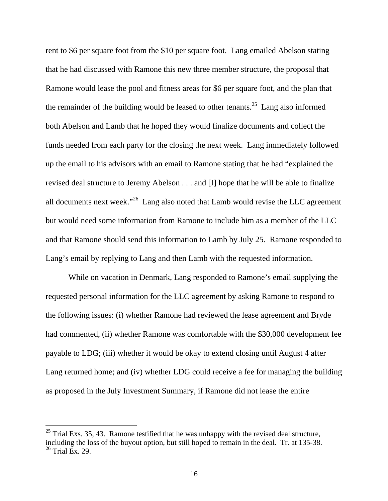rent to \$6 per square foot from the \$10 per square foot. Lang emailed Abelson stating that he had discussed with Ramone this new three member structure, the proposal that Ramone would lease the pool and fitness areas for \$6 per square foot, and the plan that the remainder of the building would be leased to other tenants.<sup>25</sup> Lang also informed both Abelson and Lamb that he hoped they would finalize documents and collect the funds needed from each party for the closing the next week. Lang immediately followed up the email to his advisors with an email to Ramone stating that he had "explained the revised deal structure to Jeremy Abelson . . . and [I] hope that he will be able to finalize all documents next week."26 Lang also noted that Lamb would revise the LLC agreement but would need some information from Ramone to include him as a member of the LLC and that Ramone should send this information to Lamb by July 25. Ramone responded to Lang's email by replying to Lang and then Lamb with the requested information.

 While on vacation in Denmark, Lang responded to Ramone's email supplying the requested personal information for the LLC agreement by asking Ramone to respond to the following issues: (i) whether Ramone had reviewed the lease agreement and Bryde had commented, (ii) whether Ramone was comfortable with the \$30,000 development fee payable to LDG; (iii) whether it would be okay to extend closing until August 4 after Lang returned home; and (iv) whether LDG could receive a fee for managing the building as proposed in the July Investment Summary, if Ramone did not lease the entire

 $^{25}$  Trial Exs. 35, 43. Ramone testified that he was unhappy with the revised deal structure, including the loss of the buyout option, but still hoped to remain in the deal. Tr. at 135-38.  $26$  Trial Ex. 29.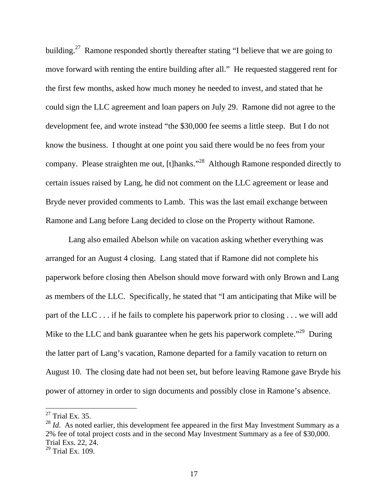building.<sup>27</sup> Ramone responded shortly thereafter stating "I believe that we are going to move forward with renting the entire building after all." He requested staggered rent for the first few months, asked how much money he needed to invest, and stated that he could sign the LLC agreement and loan papers on July 29. Ramone did not agree to the development fee, and wrote instead "the \$30,000 fee seems a little steep. But I do not know the business. I thought at one point you said there would be no fees from your company. Please straighten me out, [t]hanks."<sup>28</sup> Although Ramone responded directly to certain issues raised by Lang, he did not comment on the LLC agreement or lease and Bryde never provided comments to Lamb. This was the last email exchange between Ramone and Lang before Lang decided to close on the Property without Ramone.

 Lang also emailed Abelson while on vacation asking whether everything was arranged for an August 4 closing. Lang stated that if Ramone did not complete his paperwork before closing then Abelson should move forward with only Brown and Lang as members of the LLC. Specifically, he stated that "I am anticipating that Mike will be part of the LLC . . . if he fails to complete his paperwork prior to closing . . . we will add Mike to the LLC and bank guarantee when he gets his paperwork complete."<sup>29</sup> During the latter part of Lang's vacation, Ramone departed for a family vacation to return on August 10. The closing date had not been set, but before leaving Ramone gave Bryde his power of attorney in order to sign documents and possibly close in Ramone's absence.

 $27$  Trial Ex. 35.

<sup>&</sup>lt;sup>28</sup> *Id.* As noted earlier, this development fee appeared in the first May Investment Summary as a 2% fee of total project costs and in the second May Investment Summary as a fee of \$30,000. Trial Exs. 22, 24.

 $29$  Trial Ex. 109.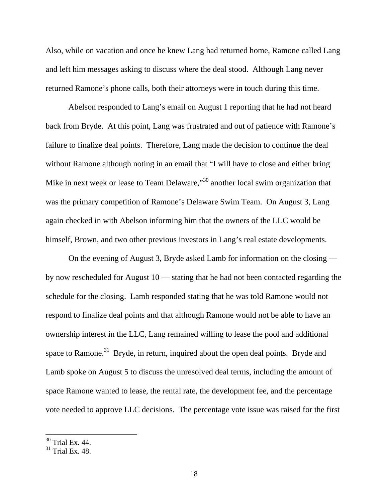Also, while on vacation and once he knew Lang had returned home, Ramone called Lang and left him messages asking to discuss where the deal stood. Although Lang never returned Ramone's phone calls, both their attorneys were in touch during this time.

 Abelson responded to Lang's email on August 1 reporting that he had not heard back from Bryde. At this point, Lang was frustrated and out of patience with Ramone's failure to finalize deal points. Therefore, Lang made the decision to continue the deal without Ramone although noting in an email that "I will have to close and either bring Mike in next week or lease to Team Delaware,"<sup>30</sup> another local swim organization that was the primary competition of Ramone's Delaware Swim Team. On August 3, Lang again checked in with Abelson informing him that the owners of the LLC would be himself, Brown, and two other previous investors in Lang's real estate developments.

On the evening of August 3, Bryde asked Lamb for information on the closing by now rescheduled for August 10 — stating that he had not been contacted regarding the schedule for the closing. Lamb responded stating that he was told Ramone would not respond to finalize deal points and that although Ramone would not be able to have an ownership interest in the LLC, Lang remained willing to lease the pool and additional space to Ramone.<sup>31</sup> Bryde, in return, inquired about the open deal points. Bryde and Lamb spoke on August 5 to discuss the unresolved deal terms, including the amount of space Ramone wanted to lease, the rental rate, the development fee, and the percentage vote needed to approve LLC decisions. The percentage vote issue was raised for the first

 $30$  Trial Ex. 44.

 $31$  Trial Ex. 48.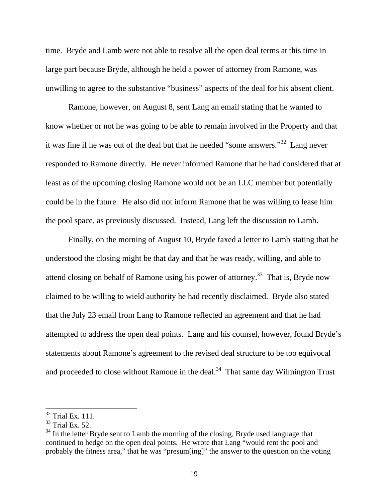time. Bryde and Lamb were not able to resolve all the open deal terms at this time in large part because Bryde, although he held a power of attorney from Ramone, was unwilling to agree to the substantive "business" aspects of the deal for his absent client.

Ramone, however, on August 8, sent Lang an email stating that he wanted to know whether or not he was going to be able to remain involved in the Property and that it was fine if he was out of the deal but that he needed "some answers."32 Lang never responded to Ramone directly. He never informed Ramone that he had considered that at least as of the upcoming closing Ramone would not be an LLC member but potentially could be in the future. He also did not inform Ramone that he was willing to lease him the pool space, as previously discussed. Instead, Lang left the discussion to Lamb.

Finally, on the morning of August 10, Bryde faxed a letter to Lamb stating that he understood the closing might be that day and that he was ready, willing, and able to attend closing on behalf of Ramone using his power of attorney.33 That is, Bryde now claimed to be willing to wield authority he had recently disclaimed. Bryde also stated that the July 23 email from Lang to Ramone reflected an agreement and that he had attempted to address the open deal points. Lang and his counsel, however, found Bryde's statements about Ramone's agreement to the revised deal structure to be too equivocal and proceeded to close without Ramone in the deal. $34$  That same day Wilmington Trust

 $32$  Trial Ex. 111.

 $33$  Trial Ex. 52.

 $34$  In the letter Bryde sent to Lamb the morning of the closing, Bryde used language that continued to hedge on the open deal points. He wrote that Lang "would rent the pool and probably the fitness area," that he was "presum[ing]" the answer to the question on the voting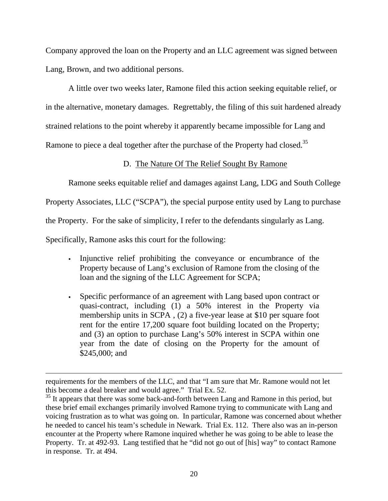Company approved the loan on the Property and an LLC agreement was signed between Lang, Brown, and two additional persons.

A little over two weeks later, Ramone filed this action seeking equitable relief, or in the alternative, monetary damages. Regrettably, the filing of this suit hardened already strained relations to the point whereby it apparently became impossible for Lang and Ramone to piece a deal together after the purchase of the Property had closed.<sup>35</sup>

# D. The Nature Of The Relief Sought By Ramone

Ramone seeks equitable relief and damages against Lang, LDG and South College

Property Associates, LLC ("SCPA"), the special purpose entity used by Lang to purchase

the Property. For the sake of simplicity, I refer to the defendants singularly as Lang.

Specifically, Ramone asks this court for the following:

- Injunctive relief prohibiting the conveyance or encumbrance of the Property because of Lang's exclusion of Ramone from the closing of the loan and the signing of the LLC Agreement for SCPA;
- Specific performance of an agreement with Lang based upon contract or quasi-contract, including (1) a 50% interest in the Property via membership units in SCPA , (2) a five-year lease at \$10 per square foot rent for the entire 17,200 square foot building located on the Property; and (3) an option to purchase Lang's 50% interest in SCPA within one year from the date of closing on the Property for the amount of \$245,000; and

requirements for the members of the LLC, and that "I am sure that Mr. Ramone would not let this become a deal breaker and would agree." Trial Ex. 52.

 $35$  It appears that there was some back-and-forth between Lang and Ramone in this period, but these brief email exchanges primarily involved Ramone trying to communicate with Lang and voicing frustration as to what was going on. In particular, Ramone was concerned about whether he needed to cancel his team's schedule in Newark. Trial Ex. 112. There also was an in-person encounter at the Property where Ramone inquired whether he was going to be able to lease the Property. Tr. at 492-93. Lang testified that he "did not go out of [his] way" to contact Ramone in response. Tr. at 494.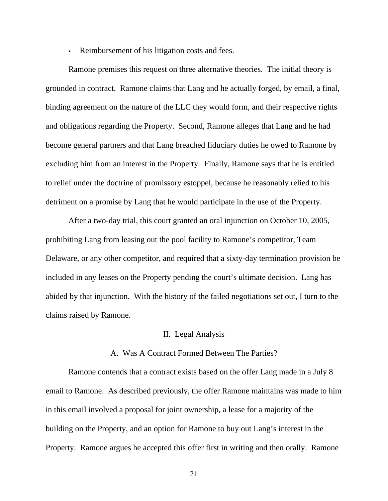Reimbursement of his litigation costs and fees.

Ramone premises this request on three alternative theories. The initial theory is grounded in contract. Ramone claims that Lang and he actually forged, by email, a final, binding agreement on the nature of the LLC they would form, and their respective rights and obligations regarding the Property. Second, Ramone alleges that Lang and he had become general partners and that Lang breached fiduciary duties he owed to Ramone by excluding him from an interest in the Property. Finally, Ramone says that he is entitled to relief under the doctrine of promissory estoppel, because he reasonably relied to his detriment on a promise by Lang that he would participate in the use of the Property.

After a two-day trial, this court granted an oral injunction on October 10, 2005, prohibiting Lang from leasing out the pool facility to Ramone's competitor, Team Delaware, or any other competitor, and required that a sixty-day termination provision be included in any leases on the Property pending the court's ultimate decision. Lang has abided by that injunction. With the history of the failed negotiations set out, I turn to the claims raised by Ramone.

# II. Legal Analysis

## A. Was A Contract Formed Between The Parties?

Ramone contends that a contract exists based on the offer Lang made in a July 8 email to Ramone. As described previously, the offer Ramone maintains was made to him in this email involved a proposal for joint ownership, a lease for a majority of the building on the Property, and an option for Ramone to buy out Lang's interest in the Property. Ramone argues he accepted this offer first in writing and then orally. Ramone

21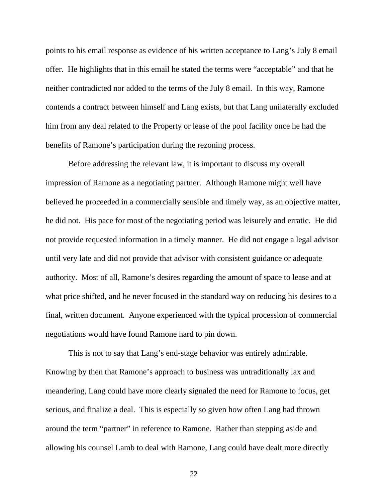points to his email response as evidence of his written acceptance to Lang's July 8 email offer. He highlights that in this email he stated the terms were "acceptable" and that he neither contradicted nor added to the terms of the July 8 email. In this way, Ramone contends a contract between himself and Lang exists, but that Lang unilaterally excluded him from any deal related to the Property or lease of the pool facility once he had the benefits of Ramone's participation during the rezoning process.

 Before addressing the relevant law, it is important to discuss my overall impression of Ramone as a negotiating partner. Although Ramone might well have believed he proceeded in a commercially sensible and timely way, as an objective matter, he did not. His pace for most of the negotiating period was leisurely and erratic. He did not provide requested information in a timely manner. He did not engage a legal advisor until very late and did not provide that advisor with consistent guidance or adequate authority. Most of all, Ramone's desires regarding the amount of space to lease and at what price shifted, and he never focused in the standard way on reducing his desires to a final, written document. Anyone experienced with the typical procession of commercial negotiations would have found Ramone hard to pin down.

This is not to say that Lang's end-stage behavior was entirely admirable. Knowing by then that Ramone's approach to business was untraditionally lax and meandering, Lang could have more clearly signaled the need for Ramone to focus, get serious, and finalize a deal. This is especially so given how often Lang had thrown around the term "partner" in reference to Ramone. Rather than stepping aside and allowing his counsel Lamb to deal with Ramone, Lang could have dealt more directly

22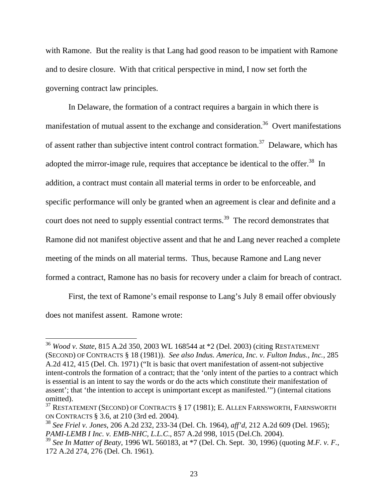with Ramone. But the reality is that Lang had good reason to be impatient with Ramone and to desire closure. With that critical perspective in mind, I now set forth the governing contract law principles.

In Delaware, the formation of a contract requires a bargain in which there is manifestation of mutual assent to the exchange and consideration.<sup>36</sup> Overt manifestations of assent rather than subjective intent control contract formation.<sup>37</sup> Delaware, which has adopted the mirror-image rule, requires that acceptance be identical to the offer.<sup>38</sup> In addition, a contract must contain all material terms in order to be enforceable, and specific performance will only be granted when an agreement is clear and definite and a court does not need to supply essential contract terms.<sup>39</sup> The record demonstrates that Ramone did not manifest objective assent and that he and Lang never reached a complete meeting of the minds on all material terms. Thus, because Ramone and Lang never formed a contract, Ramone has no basis for recovery under a claim for breach of contract.

 First, the text of Ramone's email response to Lang's July 8 email offer obviously does not manifest assent. Ramone wrote:

<sup>36</sup> *Wood v. State*, 815 A.2d 350, 2003 WL 168544 at \*2 (Del. 2003) (citing RESTATEMENT (SECOND) OF CONTRACTS § 18 (1981)). *See also Indus. America, Inc. v. Fulton Indus., Inc.*, 285 A.2d 412, 415 (Del. Ch. 1971) ("It is basic that overt manifestation of assent-not subjective intent-controls the formation of a contract; that the 'only intent of the parties to a contract which is essential is an intent to say the words or do the acts which constitute their manifestation of assent'; that 'the intention to accept is unimportant except as manifested.'") (internal citations omitted).

<sup>&</sup>lt;sup>37</sup> RESTATEMENT (SECOND) OF CONTRACTS § 17 (1981); E. ALLEN FARNSWORTH, FARNSWORTH ON CONTRACTS § 3.6, at 210 (3rd ed. 2004).

<sup>38</sup> *See Friel v. Jones*, 206 A.2d 232, 233-34 (Del. Ch. 1964), *aff'd*, 212 A.2d 609 (Del. 1965); *PAMI-LEMB I Inc. v. EMB-NHC, L.L.C*., 857 A.2d 998, 1015 (Del.Ch. 2004).

<sup>39</sup> *See In Matter of Beaty*, 1996 WL 560183, at \*7 (Del. Ch. Sept. 30, 1996) (quoting *M.F. v. F.*, 172 A.2d 274, 276 (Del. Ch. 1961).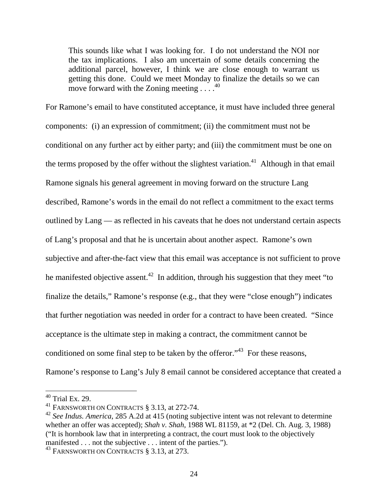This sounds like what I was looking for. I do not understand the NOI nor the tax implications. I also am uncertain of some details concerning the additional parcel, however, I think we are close enough to warrant us getting this done. Could we meet Monday to finalize the details so we can move forward with the Zoning meeting  $\ldots$ .

For Ramone's email to have constituted acceptance, it must have included three general components: (i) an expression of commitment; (ii) the commitment must not be conditional on any further act by either party; and (iii) the commitment must be one on the terms proposed by the offer without the slightest variation.<sup>41</sup> Although in that email Ramone signals his general agreement in moving forward on the structure Lang described, Ramone's words in the email do not reflect a commitment to the exact terms outlined by Lang — as reflected in his caveats that he does not understand certain aspects of Lang's proposal and that he is uncertain about another aspect. Ramone's own subjective and after-the-fact view that this email was acceptance is not sufficient to prove he manifested objective assent.<sup>42</sup> In addition, through his suggestion that they meet "to" finalize the details," Ramone's response (e.g., that they were "close enough") indicates that further negotiation was needed in order for a contract to have been created. "Since acceptance is the ultimate step in making a contract, the commitment cannot be conditioned on some final step to be taken by the offeror."<sup>43</sup> For these reasons, Ramone's response to Lang's July 8 email cannot be considered acceptance that created a

 $40$  Trial Ex. 29.

<sup>&</sup>lt;sup>41</sup> FARNSWORTH ON CONTRACTS § 3.13, at 272-74.

<sup>&</sup>lt;sup>42</sup> See Indus. America, 285 A.2d at 415 (noting subjective intent was not relevant to determine whether an offer was accepted); *Shah v. Shah*, 1988 WL 81159, at \*2 (Del. Ch. Aug. 3, 1988) ("It is hornbook law that in interpreting a contract, the court must look to the objectively manifested . . . not the subjective . . . intent of the parties.").

<sup>&</sup>lt;sup>43</sup> FARNSWORTH ON CONTRACTS § 3.13, at 273.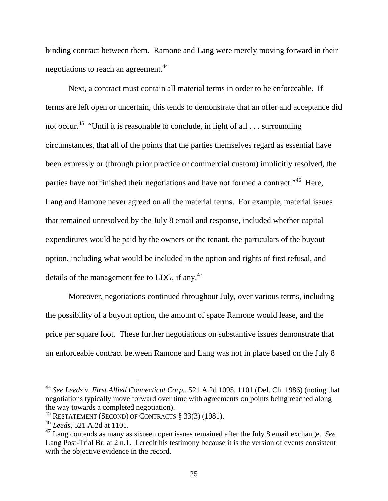binding contract between them. Ramone and Lang were merely moving forward in their negotiations to reach an agreement.<sup>44</sup>

Next, a contract must contain all material terms in order to be enforceable. If terms are left open or uncertain, this tends to demonstrate that an offer and acceptance did not occur.45 "Until it is reasonable to conclude, in light of all . . . surrounding circumstances, that all of the points that the parties themselves regard as essential have been expressly or (through prior practice or commercial custom) implicitly resolved, the parties have not finished their negotiations and have not formed a contract."46 Here, Lang and Ramone never agreed on all the material terms. For example, material issues that remained unresolved by the July 8 email and response, included whether capital expenditures would be paid by the owners or the tenant, the particulars of the buyout option, including what would be included in the option and rights of first refusal, and details of the management fee to LDG, if any.<sup>47</sup>

Moreover, negotiations continued throughout July, over various terms, including the possibility of a buyout option, the amount of space Ramone would lease, and the price per square foot. These further negotiations on substantive issues demonstrate that an enforceable contract between Ramone and Lang was not in place based on the July 8

<sup>44</sup> *See Leeds v. First Allied Connecticut Corp.*, 521 A.2d 1095, 1101 (Del. Ch. 1986) (noting that negotiations typically move forward over time with agreements on points being reached along the way towards a completed negotiation).

<sup>45</sup> RESTATEMENT (SECOND) OF CONTRACTS § 33(3) (1981).

<sup>46</sup> *Leeds*, 521 A.2d at 1101.

<sup>47</sup> Lang contends as many as sixteen open issues remained after the July 8 email exchange. *See*  Lang Post-Trial Br. at 2 n.1. I credit his testimony because it is the version of events consistent with the objective evidence in the record.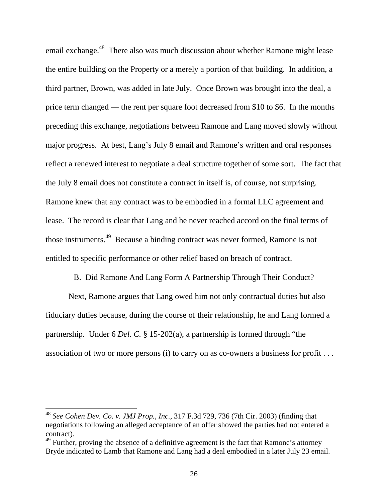email exchange.<sup>48</sup> There also was much discussion about whether Ramone might lease the entire building on the Property or a merely a portion of that building. In addition, a third partner, Brown, was added in late July. Once Brown was brought into the deal, a price term changed — the rent per square foot decreased from \$10 to \$6. In the months preceding this exchange, negotiations between Ramone and Lang moved slowly without major progress. At best, Lang's July 8 email and Ramone's written and oral responses reflect a renewed interest to negotiate a deal structure together of some sort. The fact that the July 8 email does not constitute a contract in itself is, of course, not surprising. Ramone knew that any contract was to be embodied in a formal LLC agreement and lease. The record is clear that Lang and he never reached accord on the final terms of those instruments.49 Because a binding contract was never formed, Ramone is not entitled to specific performance or other relief based on breach of contract.

#### B. Did Ramone And Lang Form A Partnership Through Their Conduct?

Next, Ramone argues that Lang owed him not only contractual duties but also fiduciary duties because, during the course of their relationship, he and Lang formed a partnership. Under 6 *Del. C.* § 15-202(a), a partnership is formed through "the association of two or more persons (i) to carry on as co-owners a business for profit . . .

<sup>48</sup> *See Cohen Dev. Co. v. JMJ Prop., Inc.*, 317 F.3d 729, 736 (7th Cir. 2003) (finding that negotiations following an alleged acceptance of an offer showed the parties had not entered a contract).

 $49$  Further, proving the absence of a definitive agreement is the fact that Ramone's attorney Bryde indicated to Lamb that Ramone and Lang had a deal embodied in a later July 23 email.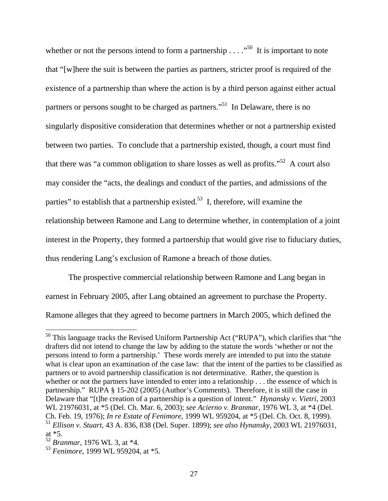whether or not the persons intend to form a partnership  $\ldots$ ."<sup>50</sup> It is important to note that "[w]here the suit is between the parties as partners, stricter proof is required of the existence of a partnership than where the action is by a third person against either actual partners or persons sought to be charged as partners."<sup>51</sup> In Delaware, there is no singularly dispositive consideration that determines whether or not a partnership existed between two parties. To conclude that a partnership existed, though, a court must find that there was "a common obligation to share losses as well as profits."52 A court also may consider the "acts, the dealings and conduct of the parties, and admissions of the parties" to establish that a partnership existed.<sup>53</sup> I, therefore, will examine the relationship between Ramone and Lang to determine whether, in contemplation of a joint interest in the Property, they formed a partnership that would give rise to fiduciary duties, thus rendering Lang's exclusion of Ramone a breach of those duties.

The prospective commercial relationship between Ramone and Lang began in earnest in February 2005, after Lang obtained an agreement to purchase the Property. Ramone alleges that they agreed to become partners in March 2005, which defined the

 $50$  This language tracks the Revised Uniform Partnership Act ("RUPA"), which clarifies that "the drafters did not intend to change the law by adding to the statute the words 'whether or not the persons intend to form a partnership.' These words merely are intended to put into the statute what is clear upon an examination of the case law: that the intent of the parties to be classified as partners or to avoid partnership classification is not determinative. Rather, the question is whether or not the partners have intended to enter into a relationship . . . the essence of which is partnership." RUPA § 15-202 (2005) (Author's Comments). Therefore, it is still the case in Delaware that "[t]he creation of a partnership is a question of intent." *Hynansky v. Vietri*, 2003 WL 21976031, at \*5 (Del. Ch. Mar. 6, 2003); *see Acierno v. Branmar*, 1976 WL 3, at \*4 (Del. Ch. Feb. 19, 1976); *In re Estate of Fenimore*, 1999 WL 959204, at \*5 (Del. Ch. Oct. 8, 1999). <sup>51</sup> *Ellison v. Stuart*, 43 A. 836, 838 (Del. Super. 1899); *see also Hynansky*, 2003 WL 21976031, at \*5.

<sup>52</sup> *Branmar*, 1976 WL 3, at \*4.

<sup>53</sup> *Fenimore*, 1999 WL 959204, at \*5.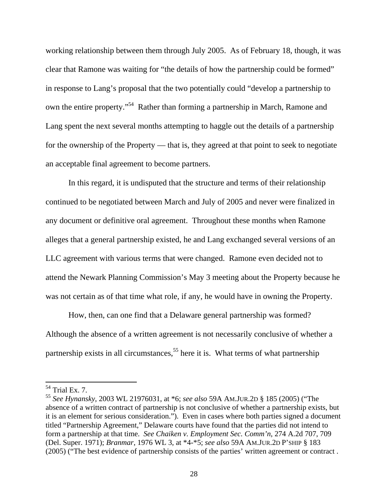working relationship between them through July 2005. As of February 18, though, it was clear that Ramone was waiting for "the details of how the partnership could be formed" in response to Lang's proposal that the two potentially could "develop a partnership to own the entire property."54 Rather than forming a partnership in March, Ramone and Lang spent the next several months attempting to haggle out the details of a partnership for the ownership of the Property — that is, they agreed at that point to seek to negotiate an acceptable final agreement to become partners.

In this regard, it is undisputed that the structure and terms of their relationship continued to be negotiated between March and July of 2005 and never were finalized in any document or definitive oral agreement. Throughout these months when Ramone alleges that a general partnership existed, he and Lang exchanged several versions of an LLC agreement with various terms that were changed. Ramone even decided not to attend the Newark Planning Commission's May 3 meeting about the Property because he was not certain as of that time what role, if any, he would have in owning the Property.

How, then, can one find that a Delaware general partnership was formed? Although the absence of a written agreement is not necessarily conclusive of whether a partnership exists in all circumstances,<sup>55</sup> here it is. What terms of what partnership

 $54$  Trial Ex. 7.

<sup>55</sup> *See Hynansky*, 2003 WL 21976031, at \*6; *see also* 59A AM.JUR.2D § 185 (2005) ("The absence of a written contract of partnership is not conclusive of whether a partnership exists, but it is an element for serious consideration."). Even in cases where both parties signed a document titled "Partnership Agreement," Delaware courts have found that the parties did not intend to form a partnership at that time. *See Chaiken v. Employment Sec. Comm'n*, 274 A.2d 707, 709 (Del. Super. 1971); *Branmar*, 1976 WL 3, at \*4-\*5; *see also* 59A AM.JUR.2D P'SHIP § 183 (2005) ("The best evidence of partnership consists of the parties' written agreement or contract .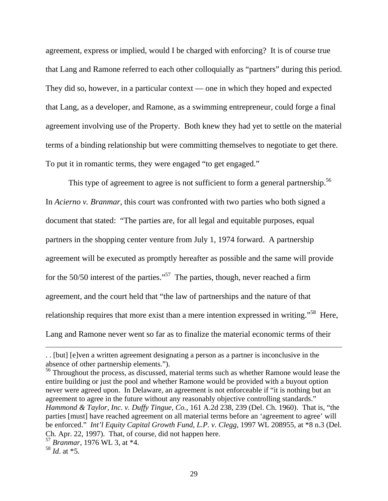agreement, express or implied, would I be charged with enforcing? It is of course true that Lang and Ramone referred to each other colloquially as "partners" during this period. They did so, however, in a particular context — one in which they hoped and expected that Lang, as a developer, and Ramone, as a swimming entrepreneur, could forge a final agreement involving use of the Property. Both knew they had yet to settle on the material terms of a binding relationship but were committing themselves to negotiate to get there. To put it in romantic terms, they were engaged "to get engaged."

This type of agreement to agree is not sufficient to form a general partnership.<sup>56</sup> In *Acierno v. Branmar*, this court was confronted with two parties who both signed a document that stated: "The parties are, for all legal and equitable purposes, equal partners in the shopping center venture from July 1, 1974 forward. A partnership agreement will be executed as promptly hereafter as possible and the same will provide for the 50/50 interest of the parties."57 The parties, though, never reached a firm agreement, and the court held that "the law of partnerships and the nature of that relationship requires that more exist than a mere intention expressed in writing."58 Here, Lang and Ramone never went so far as to finalize the material economic terms of their

<sup>56</sup> Throughout the process, as discussed, material terms such as whether Ramone would lease the entire building or just the pool and whether Ramone would be provided with a buyout option never were agreed upon. In Delaware, an agreement is not enforceable if "it is nothing but an agreement to agree in the future without any reasonably objective controlling standards." *Hammond & Taylor, Inc. v. Duffy Tingue, Co.*, 161 A.2d 238, 239 (Del. Ch. 1960). That is, "the parties [must] have reached agreement on all material terms before an 'agreement to agree' will be enforced." *Int'l Equity Capital Growth Fund, L.P. v. Clegg*, 1997 WL 208955, at \*8 n.3 (Del. Ch. Apr. 22, 1997). That, of course, did not happen here.

<sup>. . [</sup>but] [e]ven a written agreement designating a person as a partner is inconclusive in the absence of other partnership elements.").

<sup>57</sup> *Branmar*, 1976 WL 3, at \*4.

<sup>58</sup> *Id*. at \*5.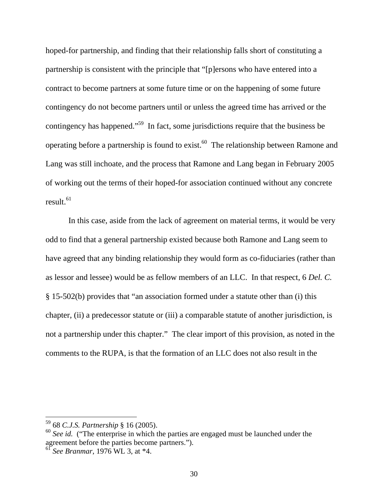hoped-for partnership, and finding that their relationship falls short of constituting a partnership is consistent with the principle that "[p]ersons who have entered into a contract to become partners at some future time or on the happening of some future contingency do not become partners until or unless the agreed time has arrived or the contingency has happened."<sup>59</sup> In fact, some jurisdictions require that the business be operating before a partnership is found to exist.<sup>60</sup> The relationship between Ramone and Lang was still inchoate, and the process that Ramone and Lang began in February 2005 of working out the terms of their hoped-for association continued without any concrete result. $61$ 

In this case, aside from the lack of agreement on material terms, it would be very odd to find that a general partnership existed because both Ramone and Lang seem to have agreed that any binding relationship they would form as co-fiduciaries (rather than as lessor and lessee) would be as fellow members of an LLC. In that respect, 6 *Del. C.* § 15-502(b) provides that "an association formed under a statute other than (i) this chapter, (ii) a predecessor statute or (iii) a comparable statute of another jurisdiction, is not a partnership under this chapter." The clear import of this provision, as noted in the comments to the RUPA, is that the formation of an LLC does not also result in the

<sup>59 68</sup> *C.J.S. Partnership* § 16 (2005).

<sup>&</sup>lt;sup>60</sup> See id. <sup>("</sup>The enterprise in which the parties are engaged must be launched under the agreement before the parties become partners.").

<sup>61</sup> *See Branmar*, 1976 WL 3, at \*4.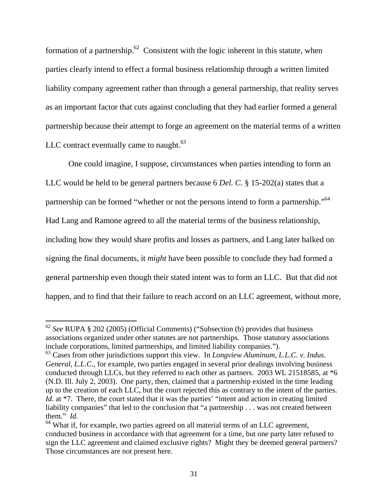formation of a partnership.<sup>62</sup> Consistent with the logic inherent in this statute, when parties clearly intend to effect a formal business relationship through a written limited liability company agreement rather than through a general partnership, that reality serves as an important factor that cuts against concluding that they had earlier formed a general partnership because their attempt to forge an agreement on the material terms of a written LLC contract eventually came to naught. $63$ 

One could imagine, I suppose, circumstances when parties intending to form an LLC would be held to be general partners because 6 *Del. C.* § 15-202(a) states that a partnership can be formed "whether or not the persons intend to form a partnership."64 Had Lang and Ramone agreed to all the material terms of the business relationship, including how they would share profits and losses as partners, and Lang later balked on signing the final documents, it *might* have been possible to conclude they had formed a general partnership even though their stated intent was to form an LLC. But that did not happen, and to find that their failure to reach accord on an LLC agreement, without more,

<sup>62</sup> *See* RUPA § 202 (2005) (Official Comments) ("Subsection (b) provides that business associations organized under other statutes are not partnerships. Those statutory associations include corporations, limited partnerships, and limited liability companies.").

<sup>63</sup> Cases from other jurisdictions support this view. In *Longview Aluminum, L.L.C. v. Indus. General, L.L.C.*, for example, two parties engaged in several prior dealings involving business conducted through LLCs, but they referred to each other as partners. 2003 WL 21518585, at \*6 (N.D. Ill. July 2, 2003). One party, then, claimed that a partnership existed in the time leading up to the creation of each LLC, but the court rejected this as contrary to the intent of the parties. *Id.* at \*7. There, the court stated that it was the parties' "intent and action in creating limited liability companies" that led to the conclusion that "a partnership . . . was not created between them." *Id*.<br><sup>64</sup> What if, for example, two parties agreed on all material terms of an LLC agreement,

conducted business in accordance with that agreement for a time, but one party later refused to sign the LLC agreement and claimed exclusive rights? Might they be deemed general partners? Those circumstances are not present here.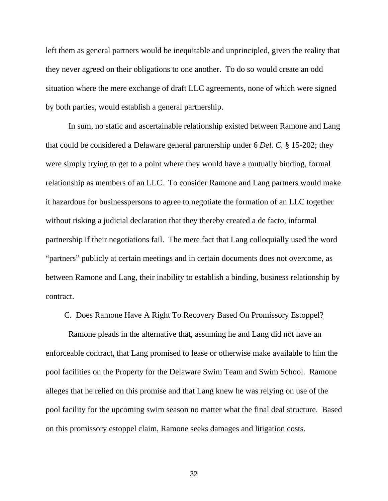left them as general partners would be inequitable and unprincipled, given the reality that they never agreed on their obligations to one another. To do so would create an odd situation where the mere exchange of draft LLC agreements, none of which were signed by both parties, would establish a general partnership.

In sum, no static and ascertainable relationship existed between Ramone and Lang that could be considered a Delaware general partnership under 6 *Del. C.* § 15-202; they were simply trying to get to a point where they would have a mutually binding, formal relationship as members of an LLC. To consider Ramone and Lang partners would make it hazardous for businesspersons to agree to negotiate the formation of an LLC together without risking a judicial declaration that they thereby created a de facto, informal partnership if their negotiations fail. The mere fact that Lang colloquially used the word "partners" publicly at certain meetings and in certain documents does not overcome, as between Ramone and Lang, their inability to establish a binding, business relationship by contract.

### C. Does Ramone Have A Right To Recovery Based On Promissory Estoppel?

Ramone pleads in the alternative that, assuming he and Lang did not have an enforceable contract, that Lang promised to lease or otherwise make available to him the pool facilities on the Property for the Delaware Swim Team and Swim School. Ramone alleges that he relied on this promise and that Lang knew he was relying on use of the pool facility for the upcoming swim season no matter what the final deal structure. Based on this promissory estoppel claim, Ramone seeks damages and litigation costs.

32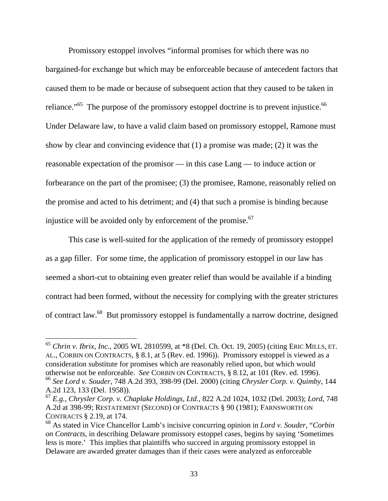Promissory estoppel involves "informal promises for which there was no bargained-for exchange but which may be enforceable because of antecedent factors that caused them to be made or because of subsequent action that they caused to be taken in reliance."<sup>65</sup> The purpose of the promissory estoppel doctrine is to prevent injustice.<sup>66</sup> Under Delaware law, to have a valid claim based on promissory estoppel, Ramone must show by clear and convincing evidence that (1) a promise was made; (2) it was the reasonable expectation of the promisor — in this case Lang — to induce action or forbearance on the part of the promisee; (3) the promisee, Ramone, reasonably relied on the promise and acted to his detriment; and (4) that such a promise is binding because injustice will be avoided only by enforcement of the promise. $67$ 

This case is well-suited for the application of the remedy of promissory estoppel as a gap filler. For some time, the application of promissory estoppel in our law has seemed a short-cut to obtaining even greater relief than would be available if a binding contract had been formed, without the necessity for complying with the greater strictures of contract law.68 But promissory estoppel is fundamentally a narrow doctrine, designed

<sup>65</sup> *Chrin v. Ibrix, Inc.*, 2005 WL 2810599, at \*8 (Del. Ch. Oct. 19, 2005) (citing ERIC MILLS, ET. AL., CORBIN ON CONTRACTS, § 8.1, at 5 (Rev. ed. 1996)). Promissory estoppel is viewed as a consideration substitute for promises which are reasonably relied upon, but which would otherwise not be enforceable. *See* CORBIN ON CONTRACTS, § 8.12, at 101 (Rev. ed. 1996). <sup>66</sup> *See Lord v. Souder*, 748 A.2d 393, 398-99 (Del. 2000) (citing *Chrysler Corp. v. Quimby*, 144

A.2d 123, 133 (Del. 1958)).

<sup>67</sup> *E.g.*, *Chrysler Corp. v. Chaplake Holdings, Ltd.*, 822 A.2d 1024, 1032 (Del. 2003); *Lord*, 748 A.2d at 398-99; RESTATEMENT (SECOND) OF CONTRACTS § 90 (1981); FARNSWORTH ON CONTRACTS § 2.19, at 174.

<sup>68</sup> As stated in Vice Chancellor Lamb's incisive concurring opinion in *Lord v. Souder*, "*Corbin on Contracts*, in describing Delaware promissory estoppel cases, begins by saying 'Sometimes less is more.' This implies that plaintiffs who succeed in arguing promissory estoppel in Delaware are awarded greater damages than if their cases were analyzed as enforceable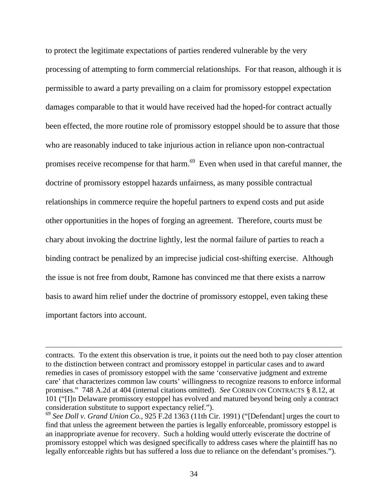to protect the legitimate expectations of parties rendered vulnerable by the very processing of attempting to form commercial relationships. For that reason, although it is permissible to award a party prevailing on a claim for promissory estoppel expectation damages comparable to that it would have received had the hoped-for contract actually been effected, the more routine role of promissory estoppel should be to assure that those who are reasonably induced to take injurious action in reliance upon non-contractual promises receive recompense for that harm.<sup>69</sup> Even when used in that careful manner, the doctrine of promissory estoppel hazards unfairness, as many possible contractual relationships in commerce require the hopeful partners to expend costs and put aside other opportunities in the hopes of forging an agreement. Therefore, courts must be chary about invoking the doctrine lightly, lest the normal failure of parties to reach a binding contract be penalized by an imprecise judicial cost-shifting exercise. Although the issue is not free from doubt, Ramone has convinced me that there exists a narrow basis to award him relief under the doctrine of promissory estoppel, even taking these important factors into account.

contracts. To the extent this observation is true, it points out the need both to pay closer attention to the distinction between contract and promissory estoppel in particular cases and to award remedies in cases of promissory estoppel with the same 'conservative judgment and extreme care' that characterizes common law courts' willingness to recognize reasons to enforce informal promises." 748 A.2d at 404 (internal citations omitted). *See* CORBIN ON CONTRACTS § 8.12, at 101 ("[I]n Delaware promissory estoppel has evolved and matured beyond being only a contract consideration substitute to support expectancy relief.").

<sup>69</sup> *See Doll v. Grand Union Co.*, 925 F.2d 1363 (11th Cir. 1991) ("[Defendant] urges the court to find that unless the agreement between the parties is legally enforceable, promissory estoppel is an inappropriate avenue for recovery. Such a holding would utterly eviscerate the doctrine of promissory estoppel which was designed specifically to address cases where the plaintiff has no legally enforceable rights but has suffered a loss due to reliance on the defendant's promises.").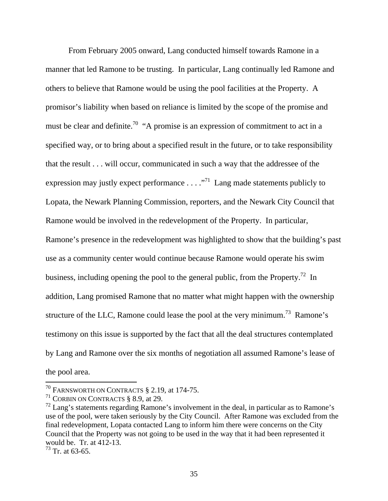From February 2005 onward, Lang conducted himself towards Ramone in a manner that led Ramone to be trusting. In particular, Lang continually led Ramone and others to believe that Ramone would be using the pool facilities at the Property. A promisor's liability when based on reliance is limited by the scope of the promise and must be clear and definite.<sup>70</sup> "A promise is an expression of commitment to act in a specified way, or to bring about a specified result in the future, or to take responsibility that the result . . . will occur, communicated in such a way that the addressee of the expression may justly expect performance  $\dots$   $\cdot$   $\cdot$  Lang made statements publicly to Lopata, the Newark Planning Commission, reporters, and the Newark City Council that Ramone would be involved in the redevelopment of the Property. In particular, Ramone's presence in the redevelopment was highlighted to show that the building's past use as a community center would continue because Ramone would operate his swim business, including opening the pool to the general public, from the Property.<sup>72</sup> In addition, Lang promised Ramone that no matter what might happen with the ownership structure of the LLC, Ramone could lease the pool at the very minimum.<sup>73</sup> Ramone's testimony on this issue is supported by the fact that all the deal structures contemplated by Lang and Ramone over the six months of negotiation all assumed Ramone's lease of the pool area.

<sup>&</sup>lt;sup>70</sup> FARNSWORTH ON CONTRACTS  $\S$  2.19, at 174-75.

<sup>&</sup>lt;sup>71</sup> CORBIN ON CONTRACTS  $§ 8.9$ , at 29.

 $^{72}$  Lang's statements regarding Ramone's involvement in the deal, in particular as to Ramone's use of the pool, were taken seriously by the City Council. After Ramone was excluded from the final redevelopment, Lopata contacted Lang to inform him there were concerns on the City Council that the Property was not going to be used in the way that it had been represented it would be. Tr. at 412-13.

 $73$  Tr. at 63-65.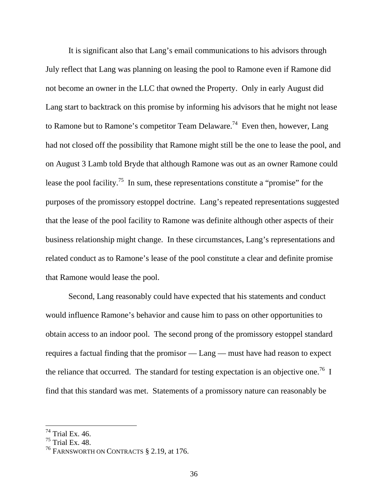It is significant also that Lang's email communications to his advisors through July reflect that Lang was planning on leasing the pool to Ramone even if Ramone did not become an owner in the LLC that owned the Property. Only in early August did Lang start to backtrack on this promise by informing his advisors that he might not lease to Ramone but to Ramone's competitor Team Delaware.<sup>74</sup> Even then, however, Lang had not closed off the possibility that Ramone might still be the one to lease the pool, and on August 3 Lamb told Bryde that although Ramone was out as an owner Ramone could lease the pool facility.<sup>75</sup> In sum, these representations constitute a "promise" for the purposes of the promissory estoppel doctrine. Lang's repeated representations suggested that the lease of the pool facility to Ramone was definite although other aspects of their business relationship might change. In these circumstances, Lang's representations and related conduct as to Ramone's lease of the pool constitute a clear and definite promise that Ramone would lease the pool.

Second, Lang reasonably could have expected that his statements and conduct would influence Ramone's behavior and cause him to pass on other opportunities to obtain access to an indoor pool. The second prong of the promissory estoppel standard requires a factual finding that the promisor — Lang — must have had reason to expect the reliance that occurred. The standard for testing expectation is an objective one.<sup>76</sup> I find that this standard was met. Statements of a promissory nature can reasonably be

 $74$  Trial Ex. 46.

 $75$  Trial Ex. 48.

<sup>&</sup>lt;sup>76</sup> FARNSWORTH ON CONTRACTS § 2.19, at 176.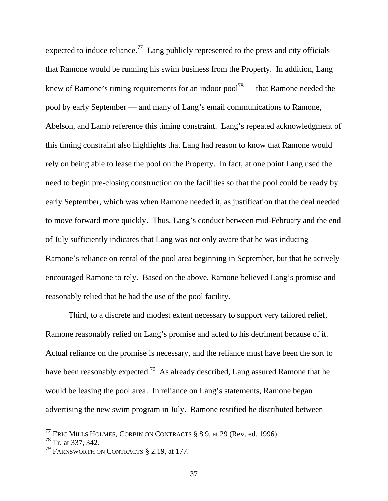expected to induce reliance.<sup>77</sup> Lang publicly represented to the press and city officials that Ramone would be running his swim business from the Property. In addition, Lang knew of Ramone's timing requirements for an indoor pool<sup>78</sup> — that Ramone needed the pool by early September — and many of Lang's email communications to Ramone, Abelson, and Lamb reference this timing constraint. Lang's repeated acknowledgment of this timing constraint also highlights that Lang had reason to know that Ramone would rely on being able to lease the pool on the Property. In fact, at one point Lang used the need to begin pre-closing construction on the facilities so that the pool could be ready by early September, which was when Ramone needed it, as justification that the deal needed to move forward more quickly. Thus, Lang's conduct between mid-February and the end of July sufficiently indicates that Lang was not only aware that he was inducing Ramone's reliance on rental of the pool area beginning in September, but that he actively encouraged Ramone to rely. Based on the above, Ramone believed Lang's promise and reasonably relied that he had the use of the pool facility.

Third, to a discrete and modest extent necessary to support very tailored relief, Ramone reasonably relied on Lang's promise and acted to his detriment because of it. Actual reliance on the promise is necessary, and the reliance must have been the sort to have been reasonably expected.<sup>79</sup> As already described, Lang assured Ramone that he would be leasing the pool area. In reliance on Lang's statements, Ramone began advertising the new swim program in July. Ramone testified he distributed between

<sup>&</sup>lt;sup>77</sup> ERIC MILLS HOLMES, CORBIN ON CONTRACTS  $\S$  8.9, at 29 (Rev. ed. 1996).

<sup>78</sup> Tr. at 337, 342.

<sup>&</sup>lt;sup>79</sup> FARNSWORTH ON CONTRACTS  $\S$  2.19, at 177.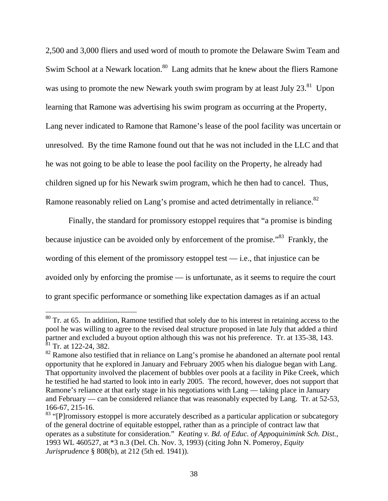2,500 and 3,000 fliers and used word of mouth to promote the Delaware Swim Team and Swim School at a Newark location.<sup>80</sup> Lang admits that he knew about the fliers Ramone was using to promote the new Newark youth swim program by at least July  $23.^{81}$  Upon learning that Ramone was advertising his swim program as occurring at the Property, Lang never indicated to Ramone that Ramone's lease of the pool facility was uncertain or unresolved. By the time Ramone found out that he was not included in the LLC and that he was not going to be able to lease the pool facility on the Property, he already had children signed up for his Newark swim program, which he then had to cancel. Thus, Ramone reasonably relied on Lang's promise and acted detrimentally in reliance.<sup>82</sup>

Finally, the standard for promissory estoppel requires that "a promise is binding because injustice can be avoided only by enforcement of the promise.<sup>83</sup> Frankly, the wording of this element of the promissory estoppel test  $-$  i.e., that injustice can be avoided only by enforcing the promise — is unfortunate, as it seems to require the court to grant specific performance or something like expectation damages as if an actual

 $80$  Tr. at 65. In addition, Ramone testified that solely due to his interest in retaining access to the pool he was willing to agree to the revised deal structure proposed in late July that added a third partner and excluded a buyout option although this was not his preference. Tr. at 135-38, 143.  $\frac{81}{1}$  Tr. at 122-24, 382.

 $82$  Ramone also testified that in reliance on Lang's promise he abandoned an alternate pool rental opportunity that he explored in January and February 2005 when his dialogue began with Lang. That opportunity involved the placement of bubbles over pools at a facility in Pike Creek, which he testified he had started to look into in early 2005. The record, however, does not support that Ramone's reliance at that early stage in his negotiations with Lang — taking place in January and February — can be considered reliance that was reasonably expected by Lang.Tr. at 52-53, 166-67, 215-16.

<sup>&</sup>lt;sup>83</sup> "[P]romissory estoppel is more accurately described as a particular application or subcategory of the general doctrine of equitable estoppel, rather than as a principle of contract law that operates as a substitute for consideration." *Keating v. Bd. of Educ. of Appoquinimink Sch. Dist.*, 1993 WL 460527, at \*3 n.3 (Del. Ch. Nov. 3, 1993) (citing John N. Pomeroy, *Equity Jurisprudence* § 808(b), at 212 (5th ed. 1941)).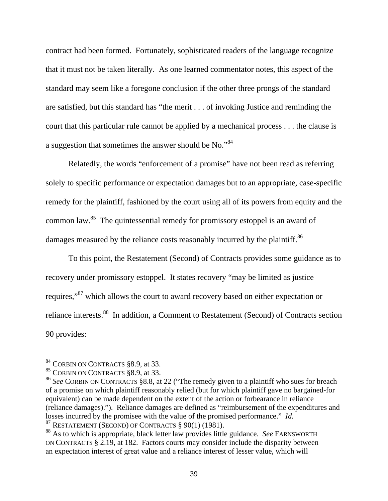contract had been formed. Fortunately, sophisticated readers of the language recognize that it must not be taken literally. As one learned commentator notes, this aspect of the standard may seem like a foregone conclusion if the other three prongs of the standard are satisfied, but this standard has "the merit . . . of invoking Justice and reminding the court that this particular rule cannot be applied by a mechanical process . . . the clause is a suggestion that sometimes the answer should be No."84

Relatedly, the words "enforcement of a promise" have not been read as referring solely to specific performance or expectation damages but to an appropriate, case-specific remedy for the plaintiff, fashioned by the court using all of its powers from equity and the common law.85 The quintessential remedy for promissory estoppel is an award of damages measured by the reliance costs reasonably incurred by the plaintiff.<sup>86</sup>

To this point, the Restatement (Second) of Contracts provides some guidance as to recovery under promissory estoppel. It states recovery "may be limited as justice requires,"87 which allows the court to award recovery based on either expectation or reliance interests.88 In addition, a Comment to Restatement (Second) of Contracts section 90 provides:

 $84$  CORBIN ON CONTRACTS  $\S 8.9$ , at 33.

<sup>&</sup>lt;sup>85</sup> CORBIN ON CONTRACTS §8.9, at 33.

<sup>86</sup> *See* CORBIN ON CONTRACTS §8.8, at 22 ("The remedy given to a plaintiff who sues for breach of a promise on which plaintiff reasonably relied (but for which plaintiff gave no bargained-for equivalent) can be made dependent on the extent of the action or forbearance in reliance (reliance damages)."). Reliance damages are defined as "reimbursement of the expenditures and losses incurred by the promisee with the value of the promised performance." *Id.* <sup>87</sup> RESTATEMENT (SECOND) OF CONTRACTS § 90(1) (1981).

<sup>88</sup> As to which is appropriate, black letter law provides little guidance. *See* FARNSWORTH ON CONTRACTS § 2.19, at 182. Factors courts may consider include the disparity between an expectation interest of great value and a reliance interest of lesser value, which will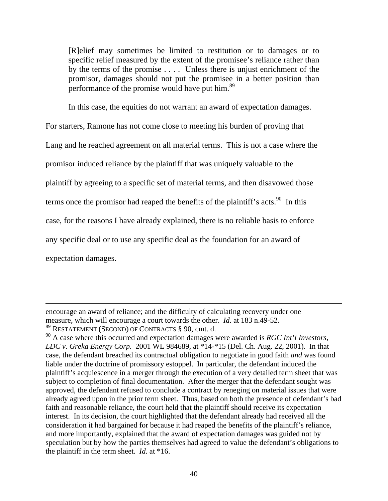[R]elief may sometimes be limited to restitution or to damages or to specific relief measured by the extent of the promisee's reliance rather than by the terms of the promise . . . . Unless there is unjust enrichment of the promisor, damages should not put the promisee in a better position than performance of the promise would have put him.<sup>89</sup>

In this case, the equities do not warrant an award of expectation damages.

For starters, Ramone has not come close to meeting his burden of proving that

Lang and he reached agreement on all material terms. This is not a case where the

promisor induced reliance by the plaintiff that was uniquely valuable to the

plaintiff by agreeing to a specific set of material terms, and then disavowed those

terms once the promisor had reaped the benefits of the plaintiff's acts.<sup>90</sup> In this

case, for the reasons I have already explained, there is no reliable basis to enforce

any specific deal or to use any specific deal as the foundation for an award of

expectation damages.

encourage an award of reliance; and the difficulty of calculating recovery under one measure, which will encourage a court towards the other. *Id.* at 183 n.49-52. 89 RESTATEMENT (SECOND) OF CONTRACTS § 90, cmt. d.

<sup>90</sup> A case where this occurred and expectation damages were awarded is *RGC Int'l Investors, LDC v. Greka Energy Corp.* 2001 WL 984689, at \*14-\*15 (Del. Ch. Aug. 22, 2001). In that case, the defendant breached its contractual obligation to negotiate in good faith *and* was found liable under the doctrine of promissory estoppel. In particular, the defendant induced the plaintiff's acquiescence in a merger through the execution of a very detailed term sheet that was subject to completion of final documentation. After the merger that the defendant sought was approved, the defendant refused to conclude a contract by reneging on material issues that were already agreed upon in the prior term sheet. Thus, based on both the presence of defendant's bad faith and reasonable reliance, the court held that the plaintiff should receive its expectation interest. In its decision, the court highlighted that the defendant already had received all the consideration it had bargained for because it had reaped the benefits of the plaintiff's reliance, and more importantly, explained that the award of expectation damages was guided not by speculation but by how the parties themselves had agreed to value the defendant's obligations to the plaintiff in the term sheet. *Id.* at \*16.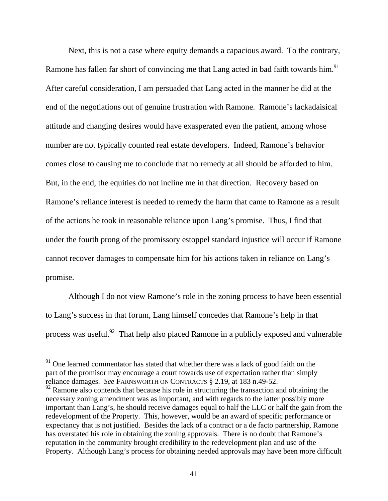Next, this is not a case where equity demands a capacious award. To the contrary, Ramone has fallen far short of convincing me that Lang acted in bad faith towards him.<sup>91</sup> After careful consideration, I am persuaded that Lang acted in the manner he did at the end of the negotiations out of genuine frustration with Ramone. Ramone's lackadaisical attitude and changing desires would have exasperated even the patient, among whose number are not typically counted real estate developers. Indeed, Ramone's behavior comes close to causing me to conclude that no remedy at all should be afforded to him. But, in the end, the equities do not incline me in that direction. Recovery based on Ramone's reliance interest is needed to remedy the harm that came to Ramone as a result of the actions he took in reasonable reliance upon Lang's promise. Thus, I find that under the fourth prong of the promissory estoppel standard injustice will occur if Ramone cannot recover damages to compensate him for his actions taken in reliance on Lang's promise.

Although I do not view Ramone's role in the zoning process to have been essential to Lang's success in that forum, Lang himself concedes that Ramone's help in that process was useful.<sup>92</sup> That help also placed Ramone in a publicly exposed and vulnerable

 $91$  One learned commentator has stated that whether there was a lack of good faith on the part of the promisor may encourage a court towards use of expectation rather than simply reliance damages. *See* FARNSWORTH ON CONTRACTS § 2.19, at 183 n.49-52.

 $92$  Ramone also contends that because his role in structuring the transaction and obtaining the necessary zoning amendment was as important, and with regards to the latter possibly more important than Lang's, he should receive damages equal to half the LLC or half the gain from the redevelopment of the Property. This, however, would be an award of specific performance or expectancy that is not justified. Besides the lack of a contract or a de facto partnership, Ramone has overstated his role in obtaining the zoning approvals. There is no doubt that Ramone's reputation in the community brought credibility to the redevelopment plan and use of the Property. Although Lang's process for obtaining needed approvals may have been more difficult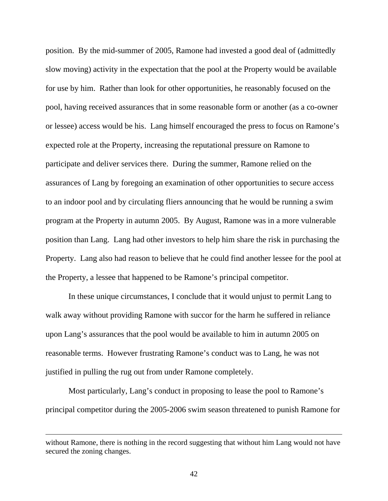position. By the mid-summer of 2005, Ramone had invested a good deal of (admittedly slow moving) activity in the expectation that the pool at the Property would be available for use by him. Rather than look for other opportunities, he reasonably focused on the pool, having received assurances that in some reasonable form or another (as a co-owner or lessee) access would be his. Lang himself encouraged the press to focus on Ramone's expected role at the Property, increasing the reputational pressure on Ramone to participate and deliver services there. During the summer, Ramone relied on the assurances of Lang by foregoing an examination of other opportunities to secure access to an indoor pool and by circulating fliers announcing that he would be running a swim program at the Property in autumn 2005. By August, Ramone was in a more vulnerable position than Lang. Lang had other investors to help him share the risk in purchasing the Property. Lang also had reason to believe that he could find another lessee for the pool at the Property, a lessee that happened to be Ramone's principal competitor.

In these unique circumstances, I conclude that it would unjust to permit Lang to walk away without providing Ramone with succor for the harm he suffered in reliance upon Lang's assurances that the pool would be available to him in autumn 2005 on reasonable terms. However frustrating Ramone's conduct was to Lang, he was not justified in pulling the rug out from under Ramone completely.

Most particularly, Lang's conduct in proposing to lease the pool to Ramone's principal competitor during the 2005-2006 swim season threatened to punish Ramone for

without Ramone, there is nothing in the record suggesting that without him Lang would not have secured the zoning changes.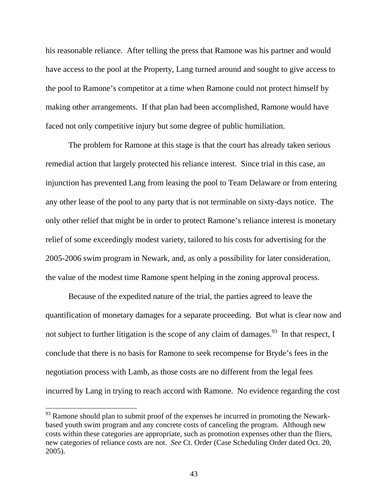his reasonable reliance. After telling the press that Ramone was his partner and would have access to the pool at the Property, Lang turned around and sought to give access to the pool to Ramone's competitor at a time when Ramone could not protect himself by making other arrangements. If that plan had been accomplished, Ramone would have faced not only competitive injury but some degree of public humiliation.

The problem for Ramone at this stage is that the court has already taken serious remedial action that largely protected his reliance interest. Since trial in this case, an injunction has prevented Lang from leasing the pool to Team Delaware or from entering any other lease of the pool to any party that is not terminable on sixty-days notice. The only other relief that might be in order to protect Ramone's reliance interest is monetary relief of some exceedingly modest variety, tailored to his costs for advertising for the 2005-2006 swim program in Newark, and, as only a possibility for later consideration, the value of the modest time Ramone spent helping in the zoning approval process.

Because of the expedited nature of the trial, the parties agreed to leave the quantification of monetary damages for a separate proceeding. But what is clear now and not subject to further litigation is the scope of any claim of damages.<sup>93</sup> In that respect, I conclude that there is no basis for Ramone to seek recompense for Bryde's fees in the negotiation process with Lamb, as those costs are no different from the legal fees incurred by Lang in trying to reach accord with Ramone. No evidence regarding the cost

 $93$  Ramone should plan to submit proof of the expenses he incurred in promoting the Newarkbased youth swim program and any concrete costs of canceling the program. Although new costs within these categories are appropriate, such as promotion expenses other than the fliers, new categories of reliance costs are not. *See* Ct. Order (Case Scheduling Order dated Oct. 20, 2005).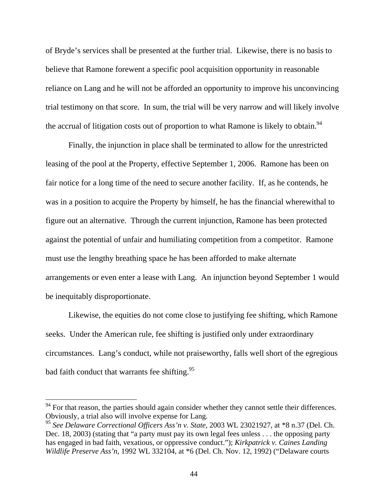of Bryde's services shall be presented at the further trial. Likewise, there is no basis to believe that Ramone forewent a specific pool acquisition opportunity in reasonable reliance on Lang and he will not be afforded an opportunity to improve his unconvincing trial testimony on that score. In sum, the trial will be very narrow and will likely involve the accrual of litigation costs out of proportion to what Ramone is likely to obtain.<sup>94</sup>

Finally, the injunction in place shall be terminated to allow for the unrestricted leasing of the pool at the Property, effective September 1, 2006. Ramone has been on fair notice for a long time of the need to secure another facility. If, as he contends, he was in a position to acquire the Property by himself, he has the financial wherewithal to figure out an alternative. Through the current injunction, Ramone has been protected against the potential of unfair and humiliating competition from a competitor. Ramone must use the lengthy breathing space he has been afforded to make alternate arrangements or even enter a lease with Lang. An injunction beyond September 1 would be inequitably disproportionate.

Likewise, the equities do not come close to justifying fee shifting, which Ramone seeks. Under the American rule, fee shifting is justified only under extraordinary circumstances. Lang's conduct, while not praiseworthy, falls well short of the egregious bad faith conduct that warrants fee shifting.<sup>95</sup>

 $94$  For that reason, the parties should again consider whether they cannot settle their differences. Obviously, a trial also will involve expense for Lang.

<sup>95</sup> *See Delaware Correctional Officers Ass'n v. State*, 2003 WL 23021927, at \*8 n.37 (Del. Ch. Dec. 18, 2003) (stating that "a party must pay its own legal fees unless . . . the opposing party has engaged in bad faith, vexatious, or oppressive conduct."); *Kirkpatrick v. Caines Landing Wildlife Preserve Ass'n*, 1992 WL 332104, at \*6 (Del. Ch. Nov. 12, 1992) ("Delaware courts